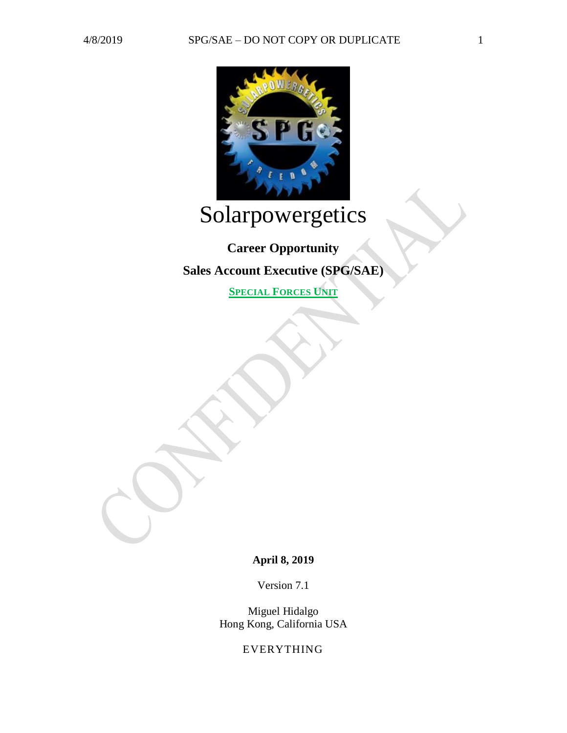

# Solarpowergetics

# **Career Opportunity**

**Sales Account Executive (SPG/SAE)**

**SPECIAL FORCES UNIT**

**April 8, 2019**

Version 7.1

Miguel Hidalgo Hong Kong, California USA

EVERYTHING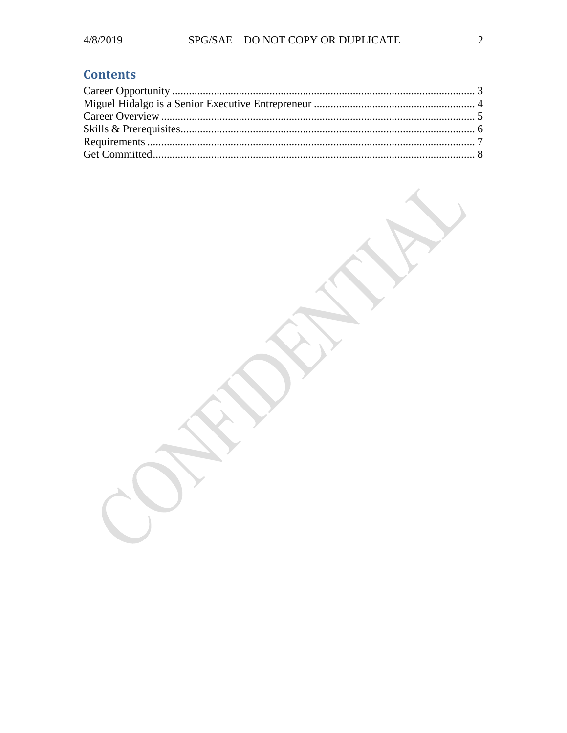## **Contents**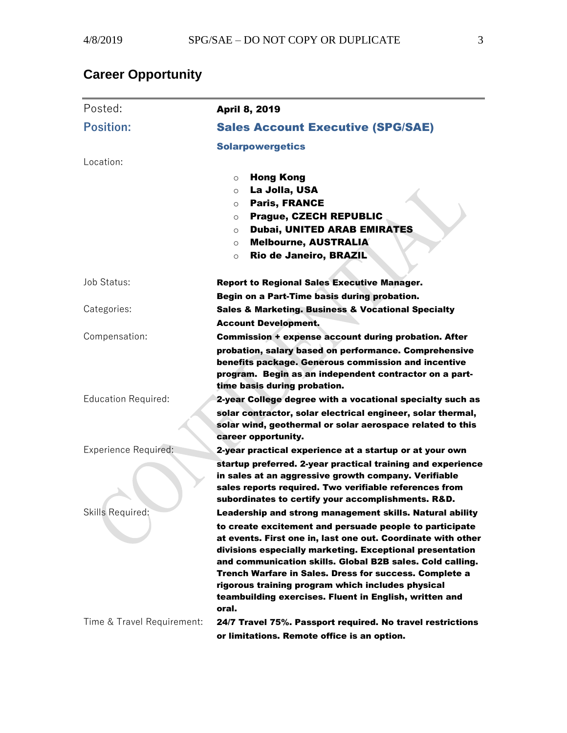# <span id="page-2-0"></span>**Career Opportunity**

| Posted:                     | <b>April 8, 2019</b>                                                                                                                                                                                                                |
|-----------------------------|-------------------------------------------------------------------------------------------------------------------------------------------------------------------------------------------------------------------------------------|
| <b>Position:</b>            | <b>Sales Account Executive (SPG/SAE)</b>                                                                                                                                                                                            |
|                             | <b>Solarpowergetics</b>                                                                                                                                                                                                             |
| Location:                   |                                                                                                                                                                                                                                     |
|                             | <b>Hong Kong</b><br>$\circ$                                                                                                                                                                                                         |
|                             | La Jolla, USA<br>O                                                                                                                                                                                                                  |
|                             | <b>Paris, FRANCE</b><br>$\circ$                                                                                                                                                                                                     |
|                             | <b>Prague, CZECH REPUBLIC</b><br>$\circ$<br><b>Dubai, UNITED ARAB EMIRATES</b>                                                                                                                                                      |
|                             | O<br><b>Melbourne, AUSTRALIA</b>                                                                                                                                                                                                    |
|                             | $\circ$<br>Rio de Janeiro, BRAZIL<br>$\circ$                                                                                                                                                                                        |
|                             |                                                                                                                                                                                                                                     |
| Job Status:                 | <b>Report to Regional Sales Executive Manager.</b>                                                                                                                                                                                  |
|                             | Begin on a Part-Time basis during probation.                                                                                                                                                                                        |
| Categories:                 | <b>Sales &amp; Marketing. Business &amp; Vocational Specialty</b>                                                                                                                                                                   |
|                             | <b>Account Development.</b>                                                                                                                                                                                                         |
| Compensation:               | <b>Commission + expense account during probation. After</b>                                                                                                                                                                         |
|                             | probation, salary based on performance. Comprehensive<br>benefits package. Generous commission and incentive<br>program. Begin as an independent contractor on a part-                                                              |
|                             | time basis during probation.                                                                                                                                                                                                        |
| <b>Education Required:</b>  | 2-year College degree with a vocational specialty such as                                                                                                                                                                           |
|                             | solar contractor, solar electrical engineer, solar thermal,<br>solar wind, geothermal or solar aerospace related to this<br>career opportunity.                                                                                     |
| <b>Experience Required:</b> | 2-year practical experience at a startup or at your own                                                                                                                                                                             |
|                             | startup preferred. 2-year practical training and experience<br>in sales at an aggressive growth company. Verifiable<br>sales reports required. Two verifiable references from<br>subordinates to certify your accomplishments. R&D. |
| Skills Required:            | Leadership and strong management skills. Natural ability                                                                                                                                                                            |
|                             | to create excitement and persuade people to participate                                                                                                                                                                             |
|                             | at events. First one in, last one out. Coordinate with other                                                                                                                                                                        |
|                             | divisions especially marketing. Exceptional presentation                                                                                                                                                                            |
|                             | and communication skills. Global B2B sales. Cold calling.<br><b>Trench Warfare in Sales. Dress for success. Complete a</b>                                                                                                          |
|                             | rigorous training program which includes physical                                                                                                                                                                                   |
|                             | teambuilding exercises. Fluent in English, written and                                                                                                                                                                              |
|                             | oral.                                                                                                                                                                                                                               |
| Time & Travel Requirement:  | 24/7 Travel 75%. Passport required. No travel restrictions                                                                                                                                                                          |
|                             | or limitations. Remote office is an option.                                                                                                                                                                                         |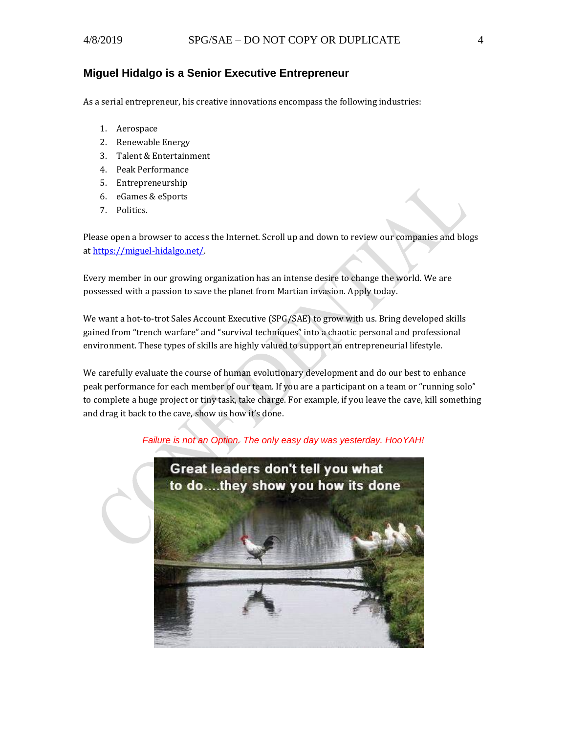#### <span id="page-3-0"></span>**Miguel Hidalgo is a Senior Executive Entrepreneur**

As a serial entrepreneur, his creative innovations encompass the following industries:

- 1. Aerospace
- 2. Renewable Energy
- 3. Talent & Entertainment
- 4. Peak Performance
- 5. Entrepreneurship
- 6. eGames & eSports
- 7. Politics.

Please open a browser to access the Internet. Scroll up and down to review our companies and blogs a[t https://miguel-hidalgo.net/.](https://miguel-hidalgo.net/)

Every member in our growing organization has an intense desire to change the world. We are possessed with a passion to save the planet from Martian invasion. Apply today.

We want a hot-to-trot Sales Account Executive (SPG/SAE) to grow with us. Bring developed skills gained from "trench warfare" and "survival techniques" into a chaotic personal and professional environment. These types of skills are highly valued to support an entrepreneurial lifestyle.

We carefully evaluate the course of human evolutionary development and do our best to enhance peak performance for each member of our team. If you are a participant on a team or "running solo" to complete a huge project or tiny task, take charge. For example, if you leave the cave, kill something and drag it back to the cave, show us how it's done.

*Failure is not an Option. The only easy day was yesterday. HooYAH!*

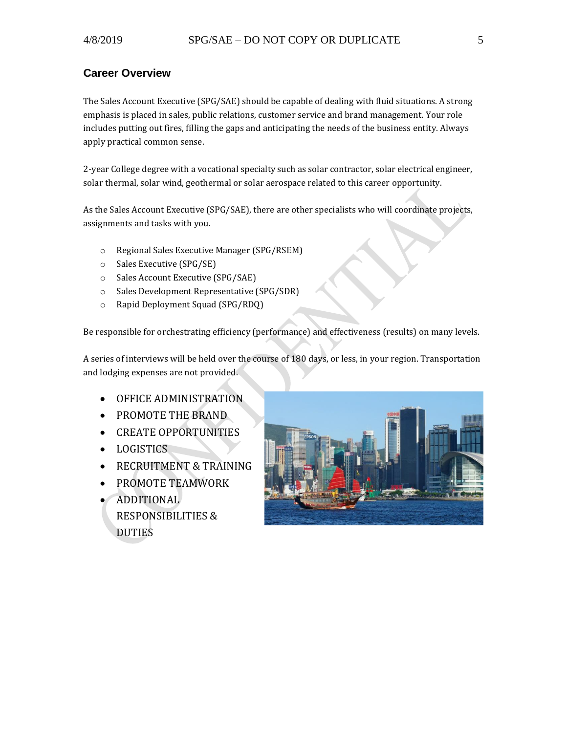### <span id="page-4-0"></span>**Career Overview**

The Sales Account Executive (SPG/SAE) should be capable of dealing with fluid situations. A strong emphasis is placed in sales, public relations, customer service and brand management. Your role includes putting out fires, filling the gaps and anticipating the needs of the business entity. Always apply practical common sense.

2-year College degree with a vocational specialty such as solar contractor, solar electrical engineer, solar thermal, solar wind, geothermal or solar aerospace related to this career opportunity.

As the Sales Account Executive (SPG/SAE), there are other specialists who will coordinate projects, assignments and tasks with you.

- o Regional Sales Executive Manager (SPG/RSEM)
- o Sales Executive (SPG/SE)
- o Sales Account Executive (SPG/SAE)
- o Sales Development Representative (SPG/SDR)
- o Rapid Deployment Squad (SPG/RDQ)

Be responsible for orchestrating efficiency (performance) and effectiveness (results) on many levels.

A series of interviews will be held over the course of 180 days, or less, in your region. Transportation and lodging expenses are not provided.

- OFFICE ADMINISTRATION
- PROMOTE THE BRAND
- CREATE OPPORTUNITIES
- LOGISTICS
- RECRUITMENT & TRAINING
- PROMOTE TEAMWORK
- ADDITIONAL RESPONSIBILITIES & DUTIES

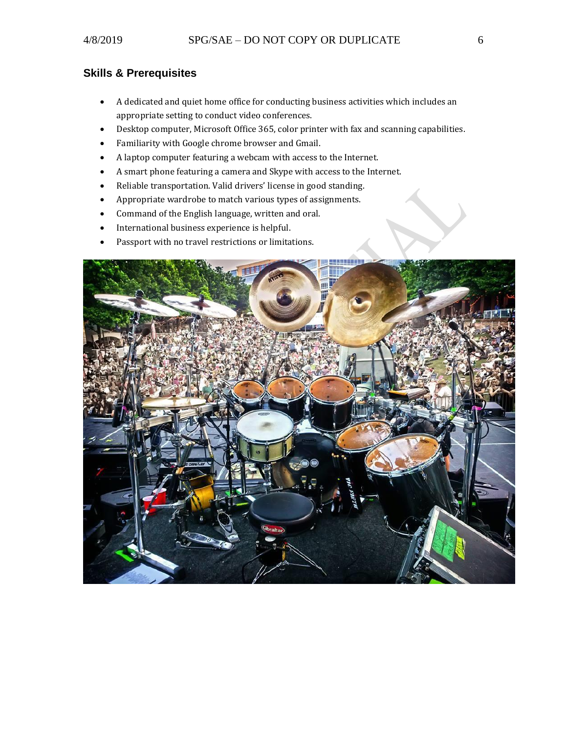## <span id="page-5-0"></span>**Skills & Prerequisites**

- A dedicated and quiet home office for conducting business activities which includes an appropriate setting to conduct video conferences.
- Desktop computer, Microsoft Office 365, color printer with fax and scanning capabilities.
- Familiarity with Google chrome browser and Gmail.
- A laptop computer featuring a webcam with access to the Internet.
- A smart phone featuring a camera and Skype with access to the Internet.
- Reliable transportation. Valid drivers' license in good standing.
- Appropriate wardrobe to match various types of assignments.
- Command of the English language, written and oral.
- International business experience is helpful.
- Passport with no travel restrictions or limitations.

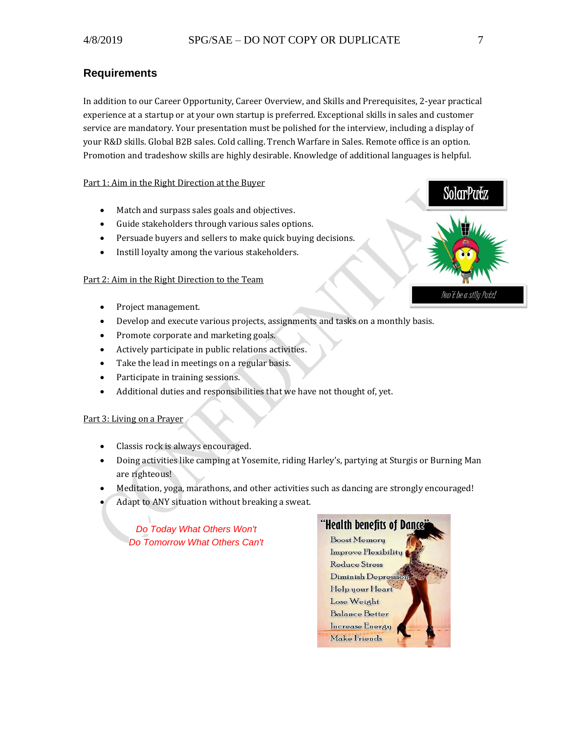#### <span id="page-6-0"></span>**Requirements**

In addition to our Career Opportunity, Career Overview, and Skills and Prerequisites, 2-year practical experience at a startup or at your own startup is preferred. Exceptional skills in sales and customer service are mandatory. Your presentation must be polished for the interview, including a display of your R&D skills. Global B2B sales. Cold calling. Trench Warfare in Sales. Remote office is an option. Promotion and tradeshow skills are highly desirable. Knowledge of additional languages is helpful.

#### Part 1: Aim in the Right Direction at the Buyer

- Match and surpass sales goals and objectives.
- Guide stakeholders through various sales options.
- Persuade buyers and sellers to make quick buying decisions.
- Instill loyalty among the various stakeholders.

#### Part 2: Aim in the Right Direction to the Team

- Project management.
- Develop and execute various projects, assignments and tasks on a monthly basis.
- Promote corporate and marketing goals.
- Actively participate in public relations activities.
- Take the lead in meetings on a regular basis.
- Participate in training sessions.
- Additional duties and responsibilities that we have not thought of, yet.

#### Part 3: Living on a Prayer

- Classis rock is always encouraged.
- Doing activities like camping at Yosemite, riding Harley's, partying at Sturgis or Burning Man are righteous!
- Meditation, yoga, marathons, and other activities such as dancing are strongly encouraged!
- Adapt to ANY situation without breaking a sweat.

*Do Today What Others Won't Do Tomorrow What Others Can't* 



SolarPutz

Don't be a silly Putz!